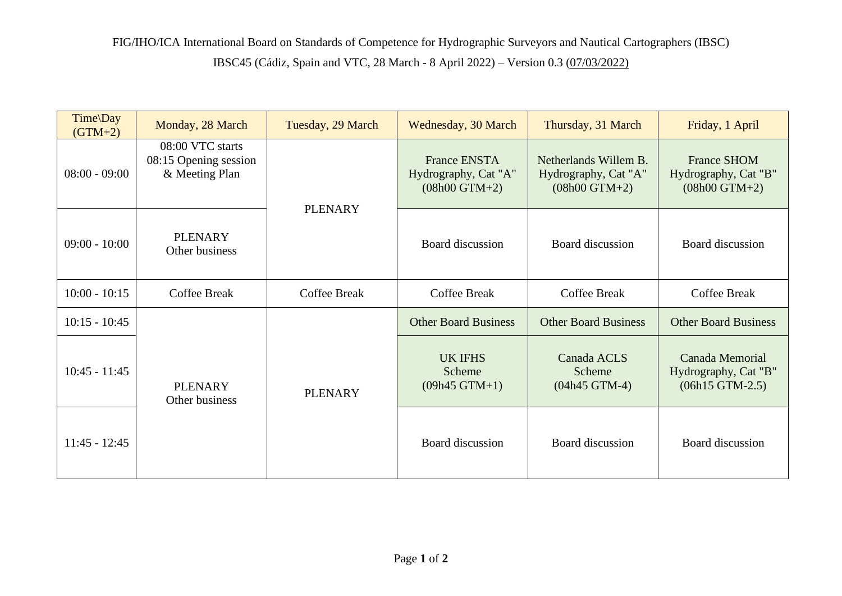| Time\Day<br>$(GTM+2)$ | Monday, 28 March                                            | Tuesday, 29 March   | Wednesday, 30 March                                            | Thursday, 31 March                                               | Friday, 1 April                                               |
|-----------------------|-------------------------------------------------------------|---------------------|----------------------------------------------------------------|------------------------------------------------------------------|---------------------------------------------------------------|
| $08:00 - 09:00$       | 08:00 VTC starts<br>08:15 Opening session<br>& Meeting Plan | <b>PLENARY</b>      | <b>France ENSTA</b><br>Hydrography, Cat "A"<br>$(08h00 GTM+2)$ | Netherlands Willem B.<br>Hydrography, Cat "A"<br>$(08h00 GTM+2)$ | <b>France SHOM</b><br>Hydrography, Cat "B"<br>$(08h00 GTM+2)$ |
| $09:00 - 10:00$       | <b>PLENARY</b><br>Other business                            |                     | Board discussion                                               | Board discussion                                                 | Board discussion                                              |
| $10:00 - 10:15$       | <b>Coffee Break</b>                                         | <b>Coffee Break</b> | <b>Coffee Break</b>                                            | <b>Coffee Break</b>                                              | <b>Coffee Break</b>                                           |
| $10:15 - 10:45$       | <b>PLENARY</b><br>Other business                            | <b>PLENARY</b>      | <b>Other Board Business</b>                                    | <b>Other Board Business</b>                                      | <b>Other Board Business</b>                                   |
| $10:45 - 11:45$       |                                                             |                     | <b>UK IFHS</b><br>Scheme<br>$(09h45$ GTM+1)                    | Canada ACLS<br>Scheme<br>$(04h45$ GTM-4)                         | Canada Memorial<br>Hydrography, Cat "B"<br>$(06h15$ GTM-2.5)  |
| $11:45 - 12:45$       |                                                             |                     | Board discussion                                               | Board discussion                                                 | Board discussion                                              |